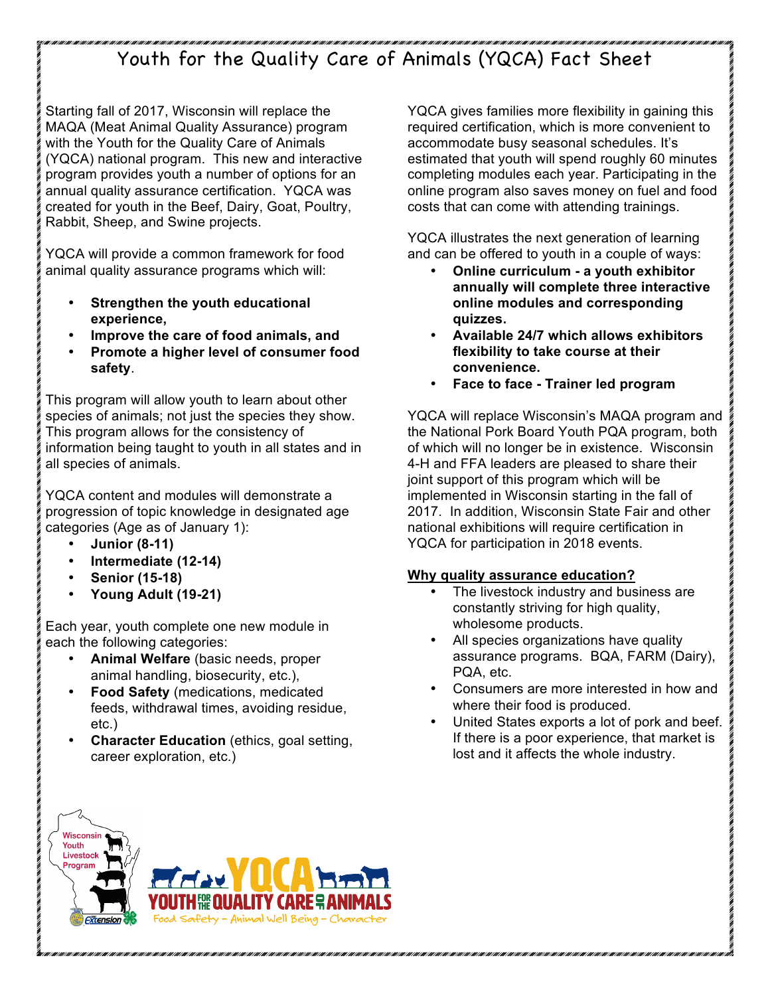# Youth for the Quality Care of Animals (YQCA) Fact Sheet

Starting fall of 2017, Wisconsin will replace the MAQA (Meat Animal Quality Assurance) program with the Youth for the Quality Care of Animals (YQCA) national program. This new and interactive program provides youth a number of options for an annual quality assurance certification. YQCA was created for youth in the Beef, Dairy, Goat, Poultry, Rabbit, Sheep, and Swine projects.

YQCA will provide a common framework for food animal quality assurance programs which will:

- **Strengthen the youth educational experience,**
- **Improve the care of food animals, and**
- **Promote a higher level of consumer food safety**.

This program will allow youth to learn about other species of animals; not just the species they show. This program allows for the consistency of information being taught to youth in all states and in all species of animals.

YQCA content and modules will demonstrate a progression of topic knowledge in designated age categories (Age as of January 1):

- **Junior (8-11)**
- **Intermediate (12-14)**
- **Senior (15-18)**
- **Young Adult (19-21)**

Each year, youth complete one new module in each the following categories:

- **Animal Welfare** (basic needs, proper animal handling, biosecurity, etc.),
- **Food Safety** (medications, medicated feeds, withdrawal times, avoiding residue, etc.)
- **Character Education** (ethics, goal setting, career exploration, etc.)

YQCA gives families more flexibility in gaining this required certification, which is more convenient to accommodate busy seasonal schedules. It's estimated that youth will spend roughly 60 minutes completing modules each year. Participating in the online program also saves money on fuel and food costs that can come with attending trainings.

YQCA illustrates the next generation of learning and can be offered to youth in a couple of ways:

- **Online curriculum - a youth exhibitor annually will complete three interactive online modules and corresponding quizzes.**
- **Available 24/7 which allows exhibitors flexibility to take course at their convenience.**
- **Face to face - Trainer led program**

YQCA will replace Wisconsin's MAQA program and the National Pork Board Youth PQA program, both of which will no longer be in existence. Wisconsin 4-H and FFA leaders are pleased to share their joint support of this program which will be implemented in Wisconsin starting in the fall of 2017. In addition, Wisconsin State Fair and other national exhibitions will require certification in YQCA for participation in 2018 events.

#### **Why quality assurance education?**

- The livestock industry and business are constantly striving for high quality, wholesome products.
- All species organizations have quality assurance programs. BQA, FARM (Dairy), PQA, etc.
- Consumers are more interested in how and where their food is produced.
- United States exports a lot of pork and beef. If there is a poor experience, that market is lost and it affects the whole industry.



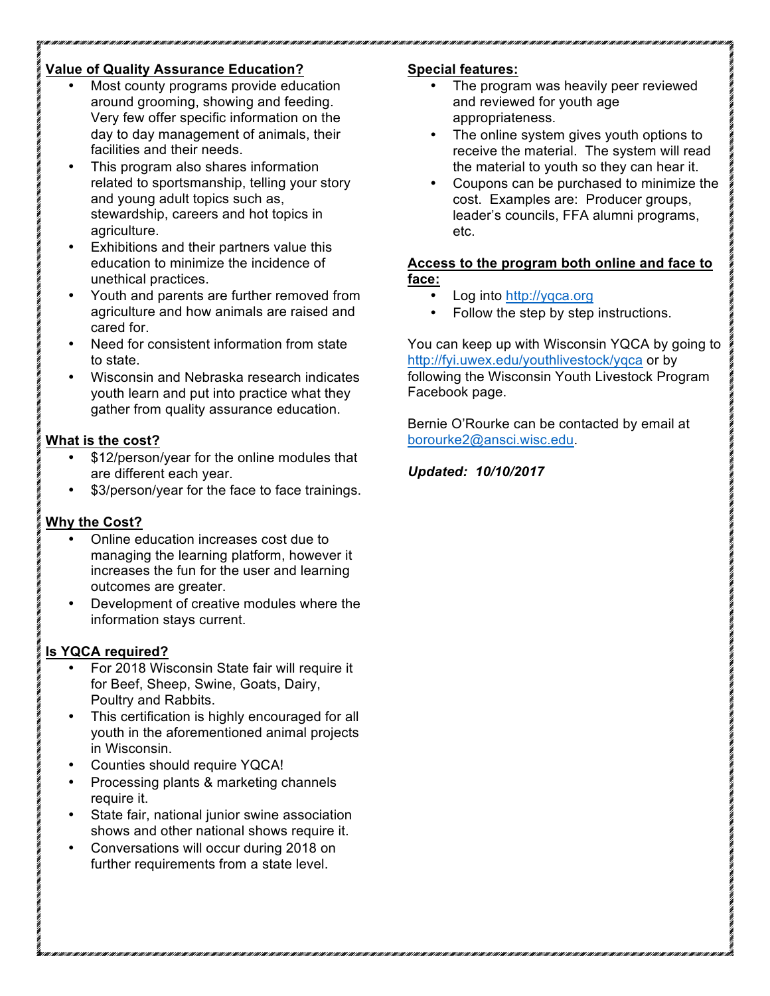## **Value of Quality Assurance Education?**

- Most county programs provide education around grooming, showing and feeding. Very few offer specific information on the day to day management of animals, their facilities and their needs.
- This program also shares information related to sportsmanship, telling your story and young adult topics such as, stewardship, careers and hot topics in agriculture.
- Exhibitions and their partners value this education to minimize the incidence of unethical practices.
- Youth and parents are further removed from agriculture and how animals are raised and cared for.
- Need for consistent information from state to state.
- Wisconsin and Nebraska research indicates youth learn and put into practice what they gather from quality assurance education.

#### **What is the cost?**

- \$12/person/year for the online modules that are different each year.
- \$3/person/year for the face to face trainings.

## **Why the Cost?**

- Online education increases cost due to managing the learning platform, however it increases the fun for the user and learning outcomes are greater.
- Development of creative modules where the information stays current.

## **Is YQCA required?**

- For 2018 Wisconsin State fair will require it for Beef, Sheep, Swine, Goats, Dairy, Poultry and Rabbits.
- This certification is highly encouraged for all youth in the aforementioned animal projects in Wisconsin.
- Counties should require YQCA!
- Processing plants & marketing channels require it.
- State fair, national junior swine association shows and other national shows require it.
- Conversations will occur during 2018 on further requirements from a state level.

## **Special features:**

- The program was heavily peer reviewed and reviewed for youth age appropriateness.
- The online system gives youth options to receive the material. The system will read the material to youth so they can hear it.
- Coupons can be purchased to minimize the cost. Examples are: Producer groups, leader's councils, FFA alumni programs, etc.

#### **Access to the program both online and face to face:**

- Log into http://yqca.org
- Follow the step by step instructions.

You can keep up with Wisconsin YQCA by going to http://fyi.uwex.edu/youthlivestock/yqca or by following the Wisconsin Youth Livestock Program Facebook page.

Bernie O'Rourke can be contacted by email at borourke2@ansci.wisc.edu.

## *Updated: 10/10/2017*